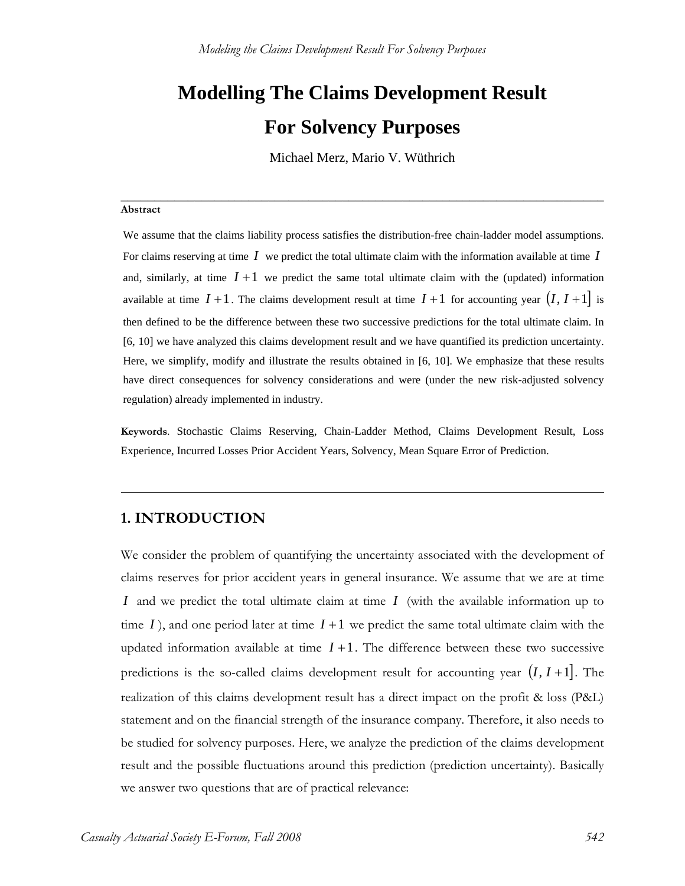# **Modelling The Claims Development Result**

# **For Solvency Purposes**

Michael Merz, Mario V. Wüthrich

**\_\_\_\_\_\_\_\_\_\_\_\_\_\_\_\_\_\_\_\_\_\_\_\_\_\_\_\_\_\_\_\_\_\_\_\_\_\_\_\_\_\_\_\_\_\_\_\_\_\_\_\_\_\_\_\_\_\_\_\_\_\_\_\_\_\_\_\_\_\_\_\_**

#### **Abstract**

We assume that the claims liability process satisfies the distribution-free chain-ladder model assumptions. For claims reserving at time *I* we predict the total ultimate claim with the information available at time *I* and, similarly, at time  $I + 1$  we predict the same total ultimate claim with the (updated) information available at time  $I + 1$ . The claims development result at time  $I + 1$  for accounting year  $(I, I + 1]$  is then defined to be the difference between these two successive predictions for the total ultimate claim. In [6, 10] we have analyzed this claims development result and we have quantified its prediction uncertainty. Here, we simplify, modify and illustrate the results obtained in [6, 10]. We emphasize that these results have direct consequences for solvency considerations and were (under the new risk-adjusted solvency regulation) already implemented in industry.

**Keywords**. Stochastic Claims Reserving, Chain-Ladder Method, Claims Development Result, Loss Experience, Incurred Losses Prior Accident Years, Solvency, Mean Square Error of Prediction.

# **1. INTRODUCTION**

We consider the problem of quantifying the uncertainty associated with the development of claims reserves for prior accident years in general insurance. We assume that we are at time *I* and we predict the total ultimate claim at time *I* (with the available information up to time *I*), and one period later at time  $I + 1$  we predict the same total ultimate claim with the updated information available at time  $I + 1$ . The difference between these two successive predictions is the so-called claims development result for accounting year  $(I, I + 1]$ . The realization of this claims development result has a direct impact on the profit & loss (P&L) statement and on the financial strength of the insurance company. Therefore, it also needs to be studied for solvency purposes. Here, we analyze the prediction of the claims development result and the possible fluctuations around this prediction (prediction uncertainty). Basically we answer two questions that are of practical relevance: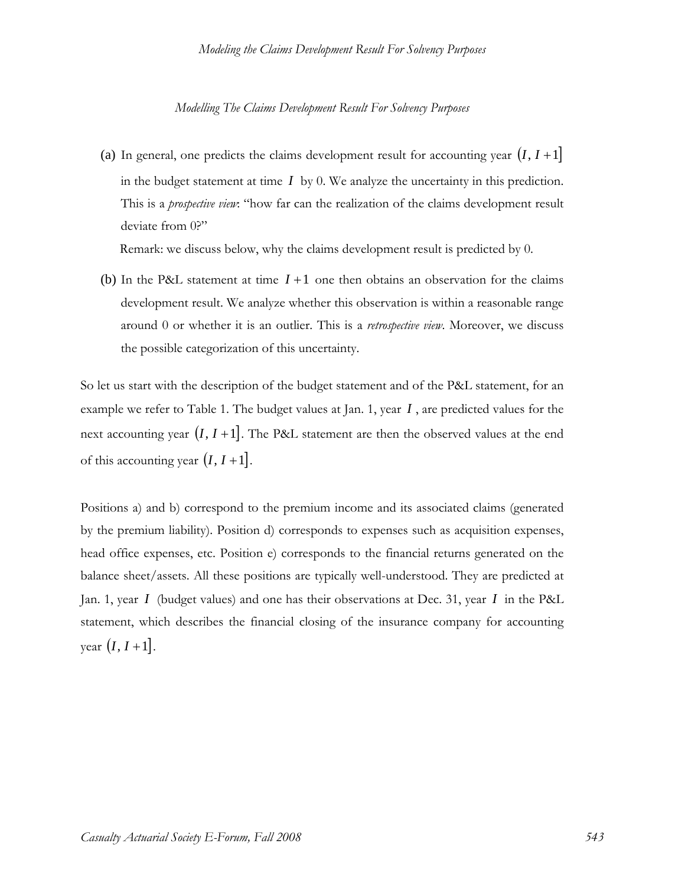(a) In general, one predicts the claims development result for accounting year  $(I, I + 1]$ in the budget statement at time  $I_{\text{bv}}$  0. We analyze the uncertainty in this prediction. This is a *prospective view*: "how far can the realization of the claims development result deviate from 0?"

Remark: we discuss below, why the claims development result is predicted by 0.

(b) In the P&L statement at time  $I+1$  one then obtains an observation for the claims development result. We analyze whether this observation is within a reasonable range around 0 or whether it is an outlier. This is a *retrospective view*. Moreover, we discuss the possible categorization of this uncertainty.

So let us start with the description of the budget statement and of the P&L statement, for an example we refer to Table 1. The budget values at Jan. 1, year *I* , are predicted values for the next accounting year  $(I, I + 1]$ . The P&L statement are then the observed values at the end of this accounting year  $(I, I+1]$ .

Positions a) and b) correspond to the premium income and its associated claims (generated by the premium liability). Position d) corresponds to expenses such as acquisition expenses, head office expenses, etc. Position e) corresponds to the financial returns generated on the balance sheet/assets. All these positions are typically well-understood. They are predicted at Jan. 1, year *I* (budget values) and one has their observations at Dec. 31, year *I* in the P&L statement, which describes the financial closing of the insurance company for accounting year  $(I, I+1]$ .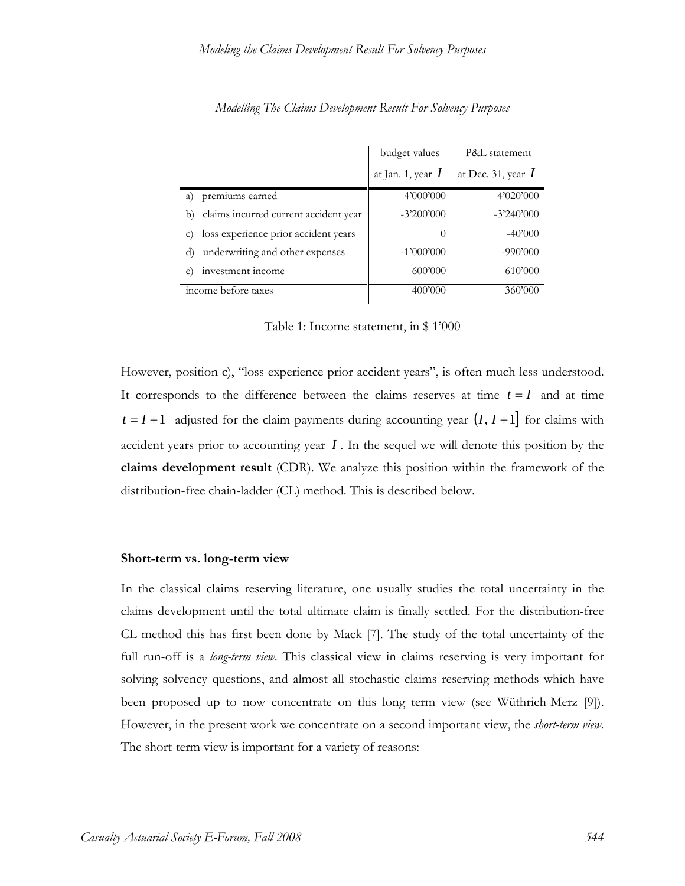|                                                         | budget values       | P&L statement        |
|---------------------------------------------------------|---------------------|----------------------|
|                                                         | at Jan. 1, year $I$ | at Dec. 31, year $I$ |
| premiums earned<br><sub>a</sub>                         | 4'000'000           | 4'020'000            |
| claims incurred current accident year<br>b)             | $-3'200'000$        | $-3'240'000$         |
| loss experience prior accident years<br>$\mathcal{C}$ ) | $\left( \right)$    | $-40'000$            |
| underwriting and other expenses<br>d)                   | $-1'000'000$        | $-990'000$           |
| investment income<br>e)                                 | 600'000             | 610'000              |
| income before taxes                                     | 400'000             | 360'000              |

*Modelling The Claims Development Result For Solvency Purposes* 

Table 1: Income statement, in \$ 1'000

However, position c), "loss experience prior accident years", is often much less understood. It corresponds to the difference between the claims reserves at time  $t = I$  and at time  $t = I + 1$  adjusted for the claim payments during accounting year  $(I, I + 1]$  for claims with accident years prior to accounting year *I* . In the sequel we will denote this position by the **claims development result** (CDR). We analyze this position within the framework of the distribution-free chain-ladder (CL) method. This is described below.

#### **Short-term vs. long-term view**

In the classical claims reserving literature, one usually studies the total uncertainty in the claims development until the total ultimate claim is finally settled. For the distribution-free CL method this has first been done by Mack [7]. The study of the total uncertainty of the full run-off is a *long-term view*. This classical view in claims reserving is very important for solving solvency questions, and almost all stochastic claims reserving methods which have been proposed up to now concentrate on this long term view (see Wüthrich-Merz [9]). However, in the present work we concentrate on a second important view, the *short-term view*. The short-term view is important for a variety of reasons: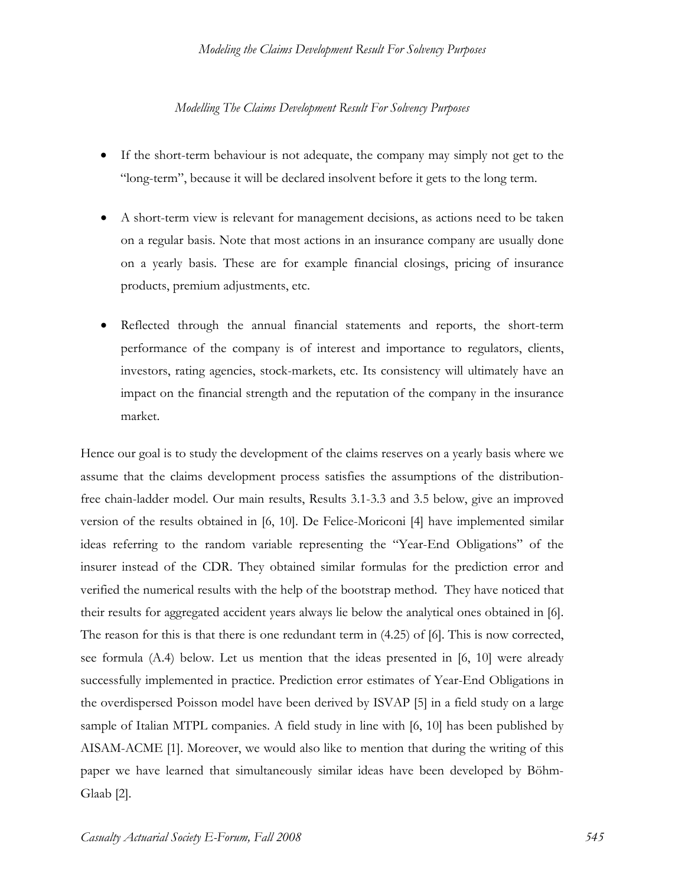- If the short-term behaviour is not adequate, the company may simply not get to the "long-term", because it will be declared insolvent before it gets to the long term.
- A short-term view is relevant for management decisions, as actions need to be taken on a regular basis. Note that most actions in an insurance company are usually done on a yearly basis. These are for example financial closings, pricing of insurance products, premium adjustments, etc.
- Reflected through the annual financial statements and reports, the short-term performance of the company is of interest and importance to regulators, clients, investors, rating agencies, stock-markets, etc. Its consistency will ultimately have an impact on the financial strength and the reputation of the company in the insurance market.

Hence our goal is to study the development of the claims reserves on a yearly basis where we assume that the claims development process satisfies the assumptions of the distributionfree chain-ladder model. Our main results, Results 3.1-3.3 and 3.5 below, give an improved version of the results obtained in [6, 10]. De Felice-Moriconi [4] have implemented similar ideas referring to the random variable representing the "Year-End Obligations" of the insurer instead of the CDR. They obtained similar formulas for the prediction error and verified the numerical results with the help of the bootstrap method. They have noticed that their results for aggregated accident years always lie below the analytical ones obtained in [6]. The reason for this is that there is one redundant term in (4.25) of [6]. This is now corrected, see formula (A.4) below. Let us mention that the ideas presented in [6, 10] were already successfully implemented in practice. Prediction error estimates of Year-End Obligations in the overdispersed Poisson model have been derived by ISVAP [5] in a field study on a large sample of Italian MTPL companies. A field study in line with [6, 10] has been published by AISAM-ACME [1]. Moreover, we would also like to mention that during the writing of this paper we have learned that simultaneously similar ideas have been developed by Böhm-Glaab [2].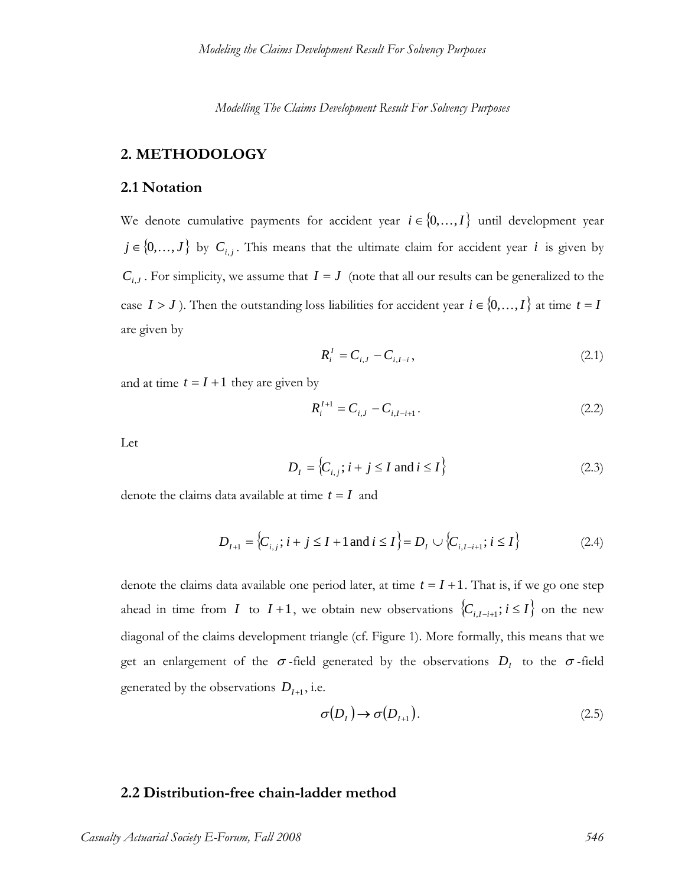# **2. METHODOLOGY**

# **2.1 Notation**

We denote cumulative payments for accident year  $i \in \{0, ..., I\}$  until development year  $j \in \{0, ..., J\}$  by  $C_{i,j}$ . This means that the ultimate claim for accident year *i* is given by  $C_{i,j}$ . For simplicity, we assume that  $I = J$  (note that all our results can be generalized to the case  $I > J$ ). Then the outstanding loss liabilities for accident year  $i \in \{0, ..., I\}$  at time  $t = I$ are given by

$$
R_i^I = C_{i,J} - C_{i,I-i},
$$
\n(2.1)

and at time  $t = I + 1$  they are given by

$$
R_i^{I+1} = C_{i,J} - C_{i,I-i+1}.
$$
\n(2.2)

Let

$$
D_{I} = \left\{ C_{i,j}; i+j \leq I \text{ and } i \leq I \right\}
$$
 (2.3)

denote the claims data available at time  $t = I$  and

$$
D_{I+1} = \{C_{i,j}; i+j \le I+1 \text{ and } i \le I\} = D_I \cup \{C_{i,I-i+1}; i \le I\}
$$
 (2.4)

denote the claims data available one period later, at time  $t = I + 1$ . That is, if we go one step ahead in time from *I* to  $I + 1$ , we obtain new observations  $\{C_{i,I-i+1}; i \leq I\}$  on the new diagonal of the claims development triangle (cf. Figure 1). More formally, this means that we get an enlargement of the  $\sigma$ -field generated by the observations  $D<sub>I</sub>$  to the  $\sigma$ -field generated by the observations  $D_{I+1}$ , i.e.

$$
\sigma(D_I) \to \sigma(D_{I+1}). \tag{2.5}
$$

# **2.2 Distribution-free chain-ladder method**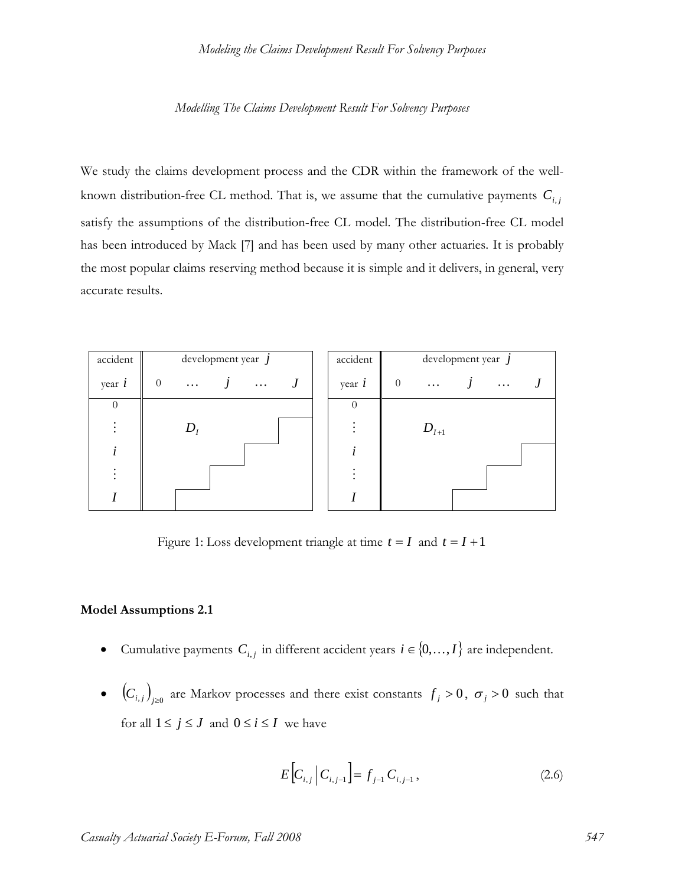We study the claims development process and the CDR within the framework of the wellknown distribution-free CL method. That is, we assume that the cumulative payments  $C_{i,j}$ satisfy the assumptions of the distribution-free CL model. The distribution-free CL model has been introduced by Mack [7] and has been used by many other actuaries. It is probably the most popular claims reserving method because it is simple and it delivers, in general, very accurate results.

| accident | development year $j$                               |  | accident         | development year $j$ |           |  |          |  |
|----------|----------------------------------------------------|--|------------------|----------------------|-----------|--|----------|--|
| year $i$ | $\overline{0}$<br>$\bm{J}$<br>$\cdots$<br>$\ldots$ |  | year $i$         | $\overline{0}$       | $\cdots$  |  | $\cdots$ |  |
| $\theta$ |                                                    |  | $\left( \right)$ |                      |           |  |          |  |
|          | $D_i$                                              |  |                  |                      | $D_{I+1}$ |  |          |  |
|          |                                                    |  |                  |                      |           |  |          |  |
|          |                                                    |  |                  |                      |           |  |          |  |
|          |                                                    |  |                  |                      |           |  |          |  |

Figure 1: Loss development triangle at time  $t = I$  and  $t = I + 1$ 

#### **Model Assumptions 2.1**

- Cumulative payments  $C_{i,j}$  in different accident years  $i \in \{0, ..., I\}$  are independent.
- $(C_{i,j})_{i\geq0}$  are Markov processes and there exist constants  $f_j > 0$ ,  $\sigma_j > 0$  such that for all  $1 \le j \le J$  and  $0 \le i \le I$  we have

$$
E\Big[C_{i,j}\Big|C_{i,j-1}\Big] = f_{j-1} C_{i,j-1},\tag{2.6}
$$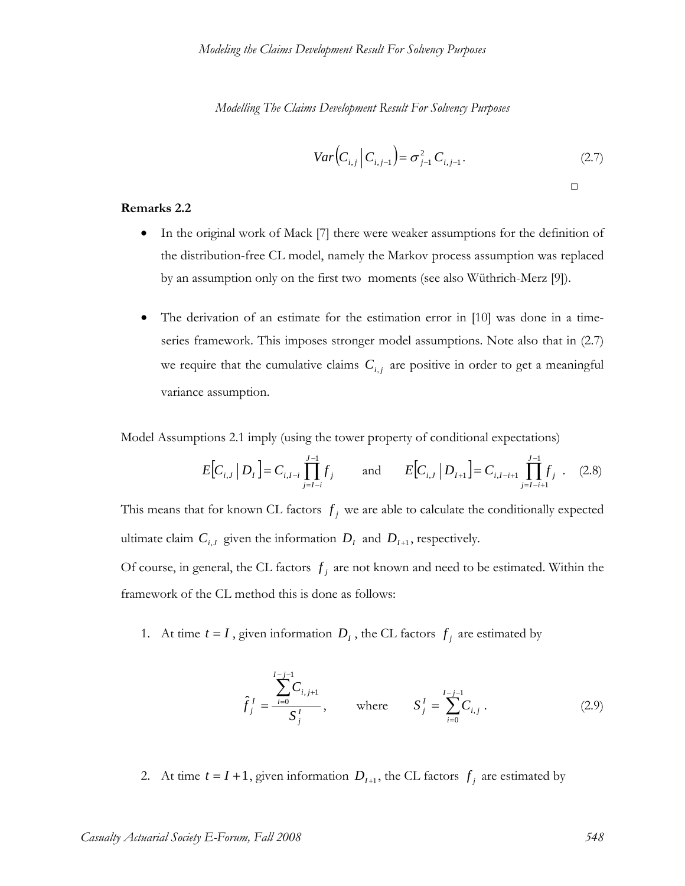$$
Var\left(C_{i,j} \mid C_{i,j-1}\right) = \sigma_{j-1}^2 C_{i,j-1}.
$$
 (2.7)

#### **Remarks 2.2**

• In the original work of Mack [7] there were weaker assumptions for the definition of the distribution-free CL model, namely the Markov process assumption was replaced by an assumption only on the first two moments (see also Wüthrich-Merz [9]).

□

• The derivation of an estimate for the estimation error in [10] was done in a timeseries framework. This imposes stronger model assumptions. Note also that in (2.7) we require that the cumulative claims  $C_{i,j}$  are positive in order to get a meaningful variance assumption.

Model Assumptions 2.1 imply (using the tower property of conditional expectations)

$$
E[C_{i,J} | D_I] = C_{i,I-i} \prod_{j=I-i}^{J-1} f_j \quad \text{and} \quad E[C_{i,J} | D_{I+1}] = C_{i,I-i+1} \prod_{j=I-i+1}^{J-1} f_j \quad (2.8)
$$

This means that for known CL factors  $f_i$  we are able to calculate the conditionally expected ultimate claim  $C_{i,j}$  given the information  $D_i$  and  $D_{i+1}$ , respectively.

Of course, in general, the CL factors  $f_i$  are not known and need to be estimated. Within the framework of the CL method this is done as follows:

1. At time  $t = I$ , given information  $D<sub>I</sub>$ , the CL factors  $f<sub>j</sub>$  are estimated by

$$
\hat{f}_j^I = \frac{\sum_{i=0}^{I-j-1} C_{i,j+1}}{S_j^I}, \quad \text{where} \quad S_j^I = \sum_{i=0}^{I-j-1} C_{i,j} . \quad (2.9)
$$

2. At time  $t = I + 1$ , given information  $D_{I+1}$ , the CL factors  $f_j$  are estimated by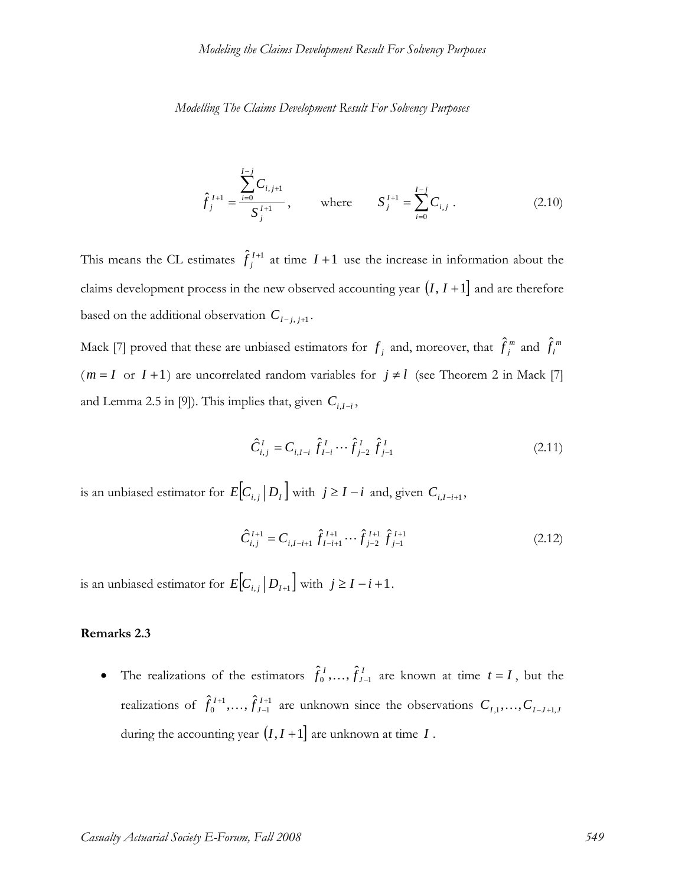$$
\hat{f}_j^{I+1} = \frac{\sum_{i=0}^{I-j} C_{i,j+1}}{S_j^{I+1}}, \quad \text{where} \quad S_j^{I+1} = \sum_{i=0}^{I-j} C_{i,j}. \quad (2.10)
$$

This means the CL estimates  $\hat{f}_j^{I+1}$  at time  $I+1$  use the increase in information about the claims development process in the new observed accounting year  $(I, I + 1]$  and are therefore based on the additional observation  $C_{I-j,j+1}$ .

Mack [7] proved that these are unbiased estimators for  $f_j$  and, moreover, that  $\hat{f}_j^m$  and  $\hat{f}_l^m$  $(m = I \text{ or } I + 1)$  are uncorrelated random variables for  $j \neq l$  (see Theorem 2 in Mack [7] and Lemma 2.5 in [9]). This implies that, given  $C_{i,I-i}$ ,

$$
\hat{C}_{i,j}^I = C_{i,I-i} \hat{f}_{I-i}^I \cdots \hat{f}_{j-2}^I \hat{f}_{j-1}^I
$$
\n(2.11)

is an unbiased estimator for  $E [ C_{i,j} | D_i]$  with  $j \ge I - i$  and, given  $C_{i,I-i+1}$ ,

$$
\hat{C}_{i,j}^{I+1} = C_{i,I-i+1} \hat{f}_{I-i+1}^{I+1} \cdots \hat{f}_{j-2}^{I+1} \hat{f}_{j-1}^{I+1}
$$
\n(2.12)

is an unbiased estimator for  $E [ C_{i,j} | D_{I+1} ]$  with  $j \ge I - i + 1$ .

#### **Remarks 2.3**

• The realizations of the estimators  $\hat{f}_0^I, \ldots, \hat{f}_{J-1}^I$  are known at time  $t = I$ , but the realizations of  $\hat{f}_0^{I+1}, \ldots, \hat{f}_{J-1}^{I+1}$  $\hat{f}_0^{\,I+1}, \ldots, \hat{f}_{J-1}^{\,I+1}$  $+1$   $\hat{I}$  $\hat{f}_0^{I+1}, \ldots, \hat{f}_{J-1}^{I+1}$  are unknown since the observations  $C_{I,1}, \ldots, C_{I-J+1,J}$ during the accounting year  $(I, I + 1]$  are unknown at time  $I$ .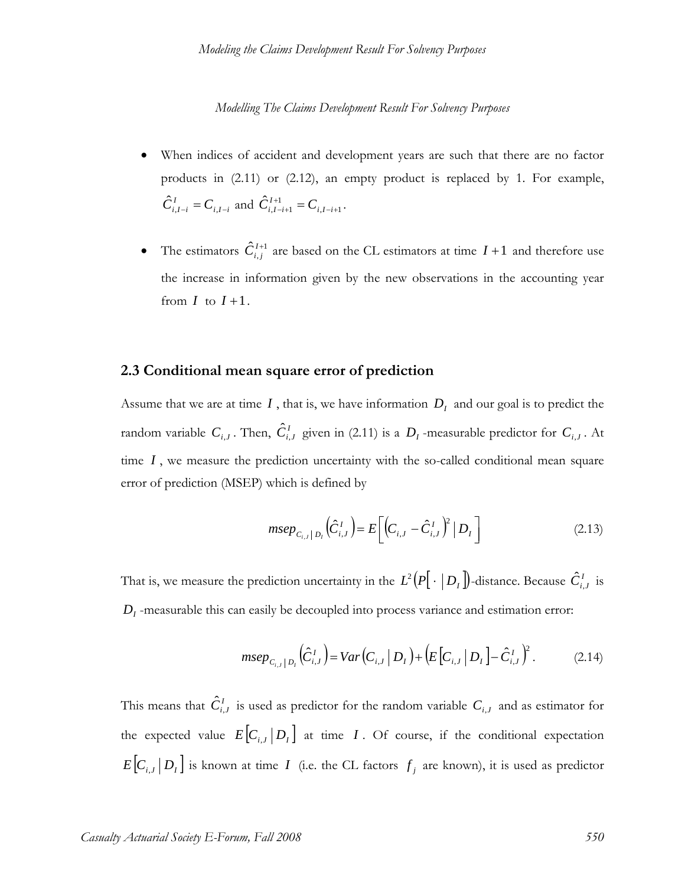- When indices of accident and development years are such that there are no factor products in (2.11) or (2.12), an empty product is replaced by 1. For example,  $\hat{C}_{i,I-i}^I = C_{i,I-i}$  and  $\hat{C}_{i,I-i+1}^{I+1} = C_{i,I-i+1}$ .
- The estimators  $\hat{C}_{i,j}^{I+1}$  are based on the CL estimators at time  $I+1$  and therefore use the increase in information given by the new observations in the accounting year from  $I$  to  $I+1$ .

# **2.3 Conditional mean square error of prediction**

Assume that we are at time  $I$ , that is, we have information  $D<sub>I</sub>$  and our goal is to predict the random variable  $C_{i,j}$ . Then,  $\hat{C}_{i,j}^I$  given in (2.11) is a  $D_I$ -measurable predictor for  $C_{i,j}$ . At time *I*, we measure the prediction uncertainty with the so-called conditional mean square error of prediction (MSEP) which is defined by

$$
msep_{C_{i,J}|D_{I}}(\hat{C}_{i,J}^{I}) = E\bigg[\Big(C_{i,J} - \hat{C}_{i,J}^{I}\Big)^{2} |D_{I}\bigg]
$$
\n(2.13)

That is, we measure the prediction uncertainty in the  $L^2(P[\cdot | D_I])$ -distance. Because  $\hat{C}^I_{i,J}$  is *D<sub>I</sub>* -measurable this can easily be decoupled into process variance and estimation error:

$$
msep_{C_{i,J}|D_{I}}(\hat{C}_{i,J}^{I}) = Var(C_{i,J}|D_{I}) + (E[C_{i,J}|D_{I}] - \hat{C}_{i,J}^{I})^{2}. \qquad (2.14)
$$

This means that  $\hat{C}_{i,j}^I$  is used as predictor for the random variable  $C_{i,j}$  and as estimator for the expected value  $E [ C_{i,J} | D_I ]$  at time *I*. Of course, if the conditional expectation  $E\left[C_{i,j} | D_i\right]$  is known at time *I* (i.e. the CL factors  $f_j$  are known), it is used as predictor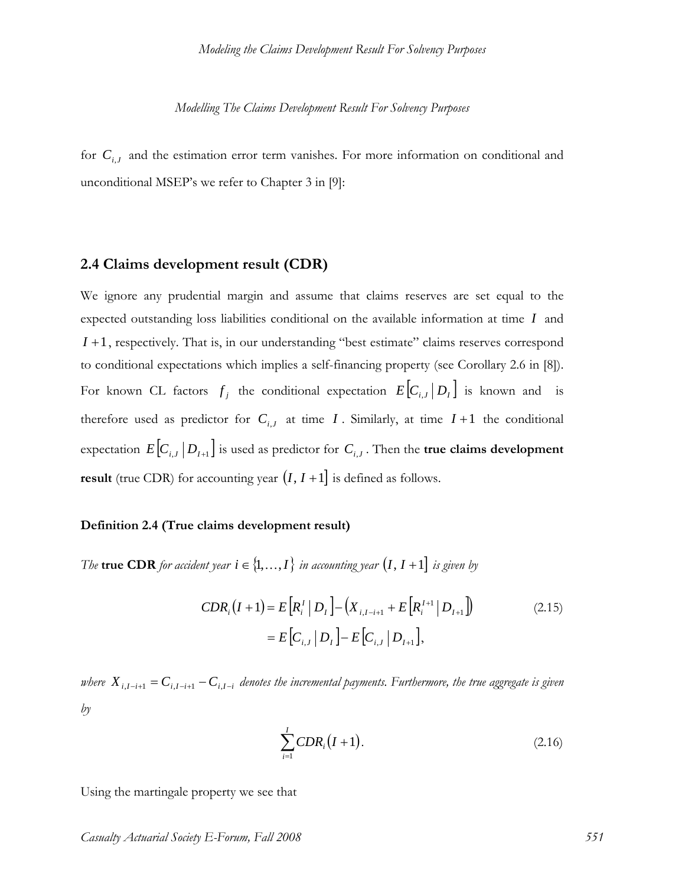for  $C_{i,J}$  and the estimation error term vanishes. For more information on conditional and unconditional MSEP's we refer to Chapter 3 in [9]:

#### **2.4 Claims development result (CDR)**

We ignore any prudential margin and assume that claims reserves are set equal to the expected outstanding loss liabilities conditional on the available information at time *I* and *I* +1, respectively. That is, in our understanding "best estimate" claims reserves correspond to conditional expectations which implies a self-financing property (see Corollary 2.6 in [8]). For known CL factors  $f_j$  the conditional expectation  $E [ C_{i,j} | D_i ]$  is known and is therefore used as predictor for  $C_{i,J}$  at time *I*. Similarly, at time  $I+1$  the conditional expectation  $E [ C_{i,J} | D_{I+1} ]$  is used as predictor for  $C_{i,J}$ . Then the **true claims development result** (true CDR) for accounting year  $(I, I + 1]$  is defined as follows.

#### **Definition 2.4 (True claims development result)**

*The* **true CDR** *for accident year*  $i \in \{1, ..., I\}$  *in accounting year*  $(I, I +1]$  *is given by* 

$$
CDR_i(I+1) = E[R_i' | D_I] - (X_{i,I-i+1} + E[R_i'^{-1} | D_{I+1}])
$$
\n
$$
= E[C_{i,J} | D_I] - E[C_{i,J} | D_{I+1}],
$$
\n(2.15)

*where*  $X_{i,I-i+1} = C_{i,I-i+1} - C_{i,I-i}$  denotes the incremental payments. Furthermore, the true aggregate is given *by* 

$$
\sum_{i=1}^{I} CDR_i(I+1). \tag{2.16}
$$

Using the martingale property we see that

*Casualty Actuarial Society E-Forum, Fall 2008 551*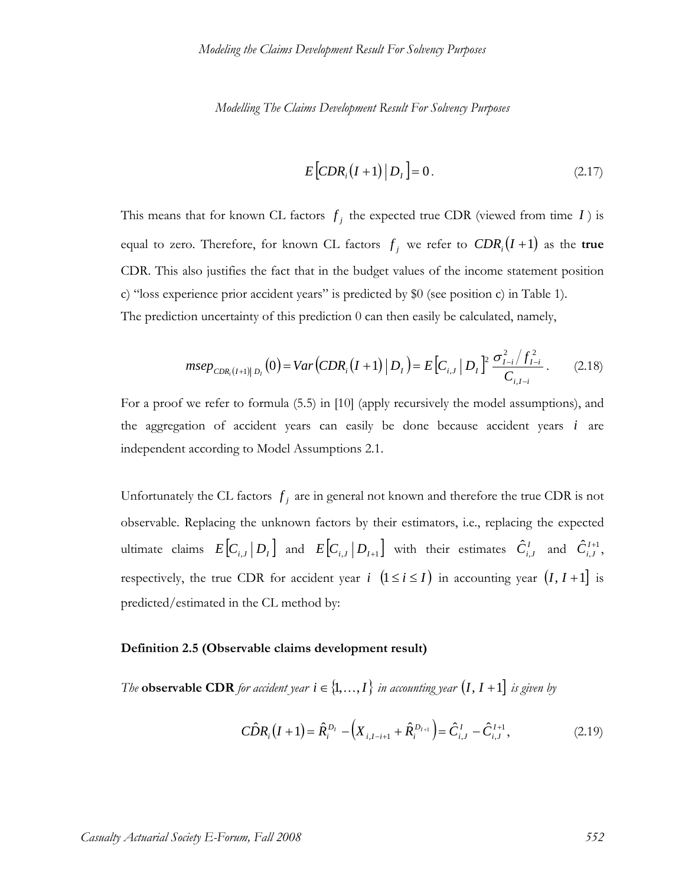$$
E\left[CDR_i\left(I+1\right)\big|D_i\right] = 0.\tag{2.17}
$$

This means that for known CL factors  $f_j$  the expected true CDR (viewed from time *I*) is equal to zero. Therefore, for known CL factors  $f_j$  we refer to  $CDR_i(I+1)$  as the true CDR. This also justifies the fact that in the budget values of the income statement position c) "loss experience prior accident years" is predicted by \$0 (see position c) in Table 1). The prediction uncertainty of this prediction 0 can then easily be calculated, namely,

$$
mse_{CDR_i(I+1)|D_I}(0) = Var\left(CDR_i(I+1)|D_I\right) = E\left[C_{i,J} | D_I\right]^2 \frac{\sigma_{I-i}^2 / f_{I-i}^2}{C_{i,I-i}}.
$$
 (2.18)

For a proof we refer to formula (5.5) in [10] (apply recursively the model assumptions), and the aggregation of accident years can easily be done because accident years *i* are independent according to Model Assumptions 2.1.

Unfortunately the CL factors  $f_j$  are in general not known and therefore the true CDR is not observable. Replacing the unknown factors by their estimators, i.e., replacing the expected ultimate claims  $E [ C_{i,J} | D_I ]$  and  $E [ C_{i,J} | D_{I+1} ]$  with their estimates  $\hat{C}_{i,J}^I$  and  $\hat{C}_{i,J}^{I+1}$ , respectively, the true CDR for accident year *i*  $(1 \le i \le I)$  in accounting year  $(I, I + 1]$  is predicted/estimated in the CL method by:

#### **Definition 2.5 (Observable claims development result)**

*The* **observable CDR** for accident year  $i \in \{1, ..., I\}$  in accounting year  $(I, I + 1]$  is given by

$$
\hat{CDR}_{i}(I+1) = \hat{R}_{i}^{D_{I}} - \left(X_{i,I-i+1} + \hat{R}_{i}^{D_{I+1}}\right) = \hat{C}_{i,J}^{I} - \hat{C}_{i,J}^{I+1},
$$
\n(2.19)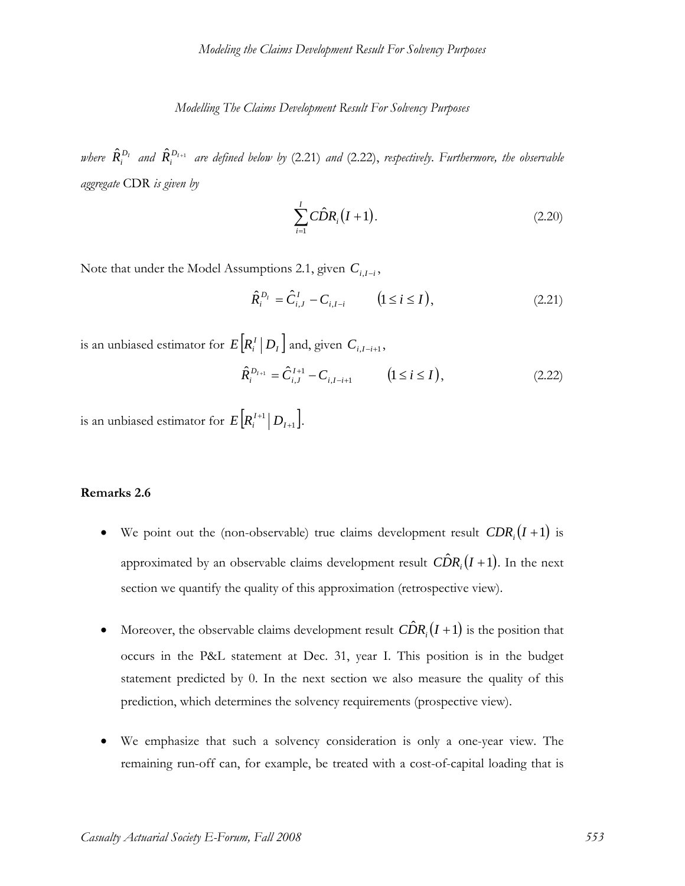where  $\hat{R}^{D_1}_i$  and  $\hat{R}^{D_{I+1}}_i$  are defined below by (2.21) and (2.22), respectively. Furthermore, the observable *aggregate* CDR *is given by* 

$$
\sum_{i=1}^{I} C\hat{D}R_i(I+1).
$$
 (2.20)

Note that under the Model Assumptions 2.1, given  $C_{i,I-i}$ ,

$$
\hat{R}_i^{D_I} = \hat{C}_{i,J}^I - C_{i,I-i} \qquad (1 \le i \le I), \qquad (2.21)
$$

is an unbiased estimator for  $E[R_i^I | D_I]$  and, given  $C_{i,I-i+1}$ ,

$$
\hat{R}_{i}^{D_{I+1}} = \hat{C}_{i,J}^{I+1} - C_{i,I-i+1} \qquad (1 \le i \le I), \qquad (2.22)
$$

is an unbiased estimator for  $E\big[R_i^{\,l+1}\big|\,D_{l+1}\big]$ + +  $E[R_i^{I+1} | D_{I+1}].$ 

#### **Remarks 2.6**

- We point out the (non-observable) true claims development result  $CDR_i(I + 1)$  is approximated by an observable claims development result  $\widehat{CDR}$ <sub>i</sub> $(I+1)$ . In the next section we quantify the quality of this approximation (retrospective view).
- Moreover, the observable claims development result  $\widehat{CDR}_i(I+1)$  is the position that occurs in the P&L statement at Dec. 31, year I. This position is in the budget statement predicted by 0. In the next section we also measure the quality of this prediction, which determines the solvency requirements (prospective view).
- We emphasize that such a solvency consideration is only a one-year view. The remaining run-off can, for example, be treated with a cost-of-capital loading that is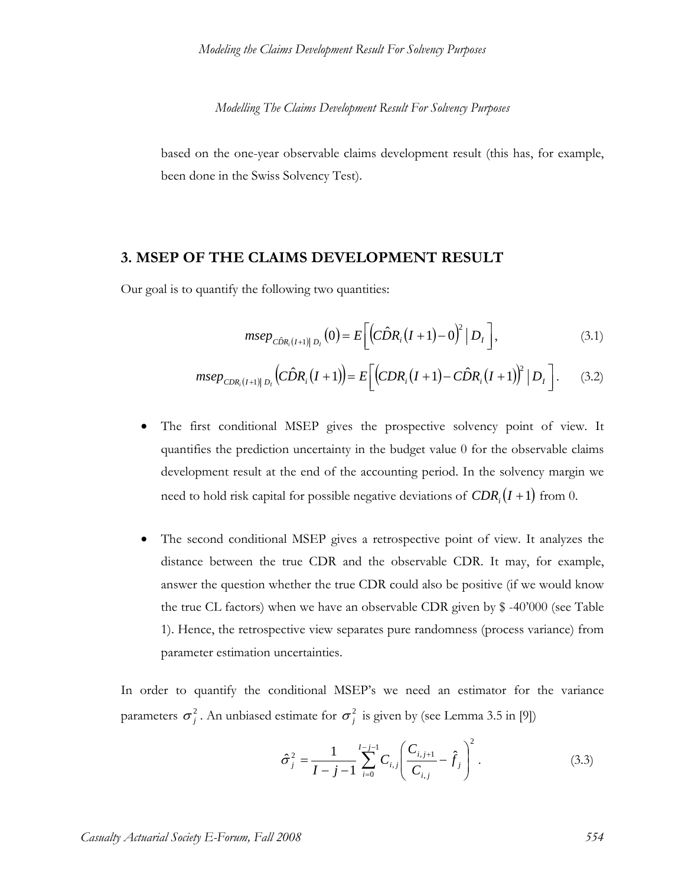based on the one-year observable claims development result (this has, for example, been done in the Swiss Solvency Test).

# **3. MSEP OF THE CLAIMS DEVELOPMENT RESULT**

Our goal is to quantify the following two quantities:

$$
msep_{\hat{C}\hat{D}R_i(I+1)|D_I}(0) = E\bigg[\bigg(\hat{C}\hat{D}R_i(I+1) - 0\bigg)^2 |D_I\bigg],\tag{3.1}
$$

$$
mse_{CDR_i(I+1)|D_I} (C\hat{D}R_i(I+1)) = E [(CDR_i(I+1) - C\hat{D}R_i(I+1))^2 |D_I]. \tag{3.2}
$$

- The first conditional MSEP gives the prospective solvency point of view. It quantifies the prediction uncertainty in the budget value 0 for the observable claims development result at the end of the accounting period. In the solvency margin we need to hold risk capital for possible negative deviations of  $CDR<sub>i</sub>(I +1)$  from 0.
- The second conditional MSEP gives a retrospective point of view. It analyzes the distance between the true CDR and the observable CDR. It may, for example, answer the question whether the true CDR could also be positive (if we would know the true CL factors) when we have an observable CDR given by \$ -40'000 (see Table 1). Hence, the retrospective view separates pure randomness (process variance) from parameter estimation uncertainties.

In order to quantify the conditional MSEP's we need an estimator for the variance parameters  $\sigma_j^2$ . An unbiased estimate for  $\sigma_j^2$  is given by (see Lemma 3.5 in [9])

$$
\hat{\sigma}_j^2 = \frac{1}{I - j - 1} \sum_{i=0}^{I - j - 1} C_{i,j} \left( \frac{C_{i,j+1}}{C_{i,j}} - \hat{f}_j \right)^2.
$$
 (3.3)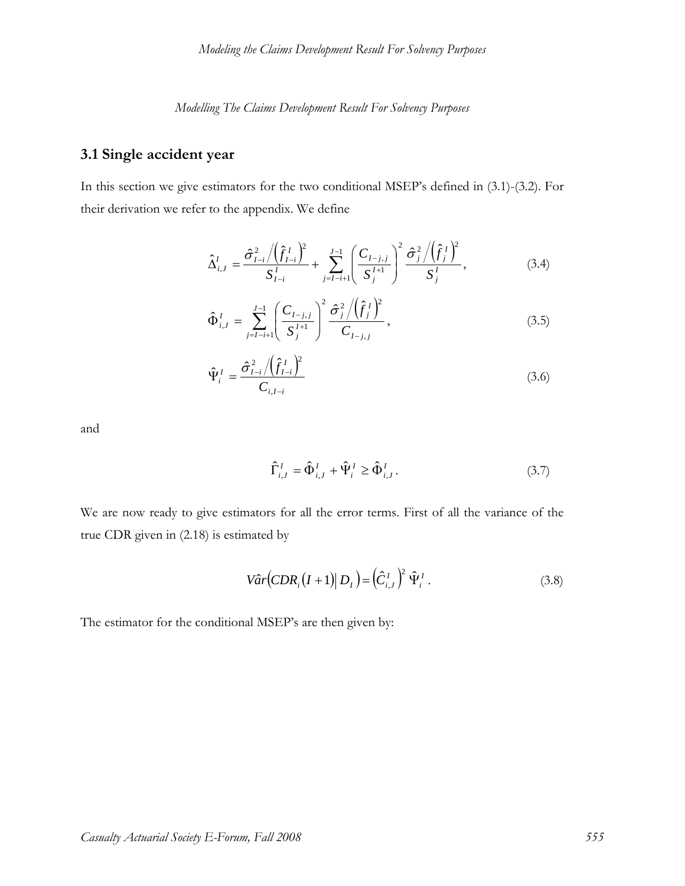# **3.1 Single accident year**

In this section we give estimators for the two conditional MSEP's defined in (3.1)-(3.2). For their derivation we refer to the appendix. We define

$$
\hat{\Delta}_{i,J}^{I} = \frac{\hat{\sigma}_{I-i}^{2} / (\hat{f}_{I-i}^{I})^{2}}{S_{I-i}^{I}} + \sum_{j=I-i+1}^{J-1} \left(\frac{C_{I-j,j}}{S_{j}^{I+1}}\right)^{2} \frac{\hat{\sigma}_{j}^{2} / (\hat{f}_{j}^{I})^{2}}{S_{j}^{I}},
$$
\n(3.4)

$$
\hat{\Phi}_{i,J}^I = \sum_{j=I-i+1}^{J-1} \left( \frac{C_{I-j,j}}{S_j^{I+1}} \right)^2 \frac{\hat{\sigma}_j^2 / (\hat{f}_j^I)^2}{C_{I-j,j}}, \qquad (3.5)
$$

$$
\hat{\Psi}_{i}^{I} = \frac{\hat{\sigma}_{I-i}^{2} / (\hat{f}_{I-i}^{I})^{2}}{C_{i,I-i}}
$$
\n(3.6)

and

$$
\hat{\Gamma}^I_{i,J} = \hat{\Phi}^I_{i,J} + \hat{\Psi}^I_i \ge \hat{\Phi}^I_{i,J}.
$$
\n(3.7)

We are now ready to give estimators for all the error terms. First of all the variance of the true CDR given in (2.18) is estimated by

$$
V\hat{a}r(CDR_i(I+1)|D_I) = (\hat{C}_{i,J}^I)^2 \hat{\Psi}_i^I.
$$
\n(3.8)

The estimator for the conditional MSEP's are then given by: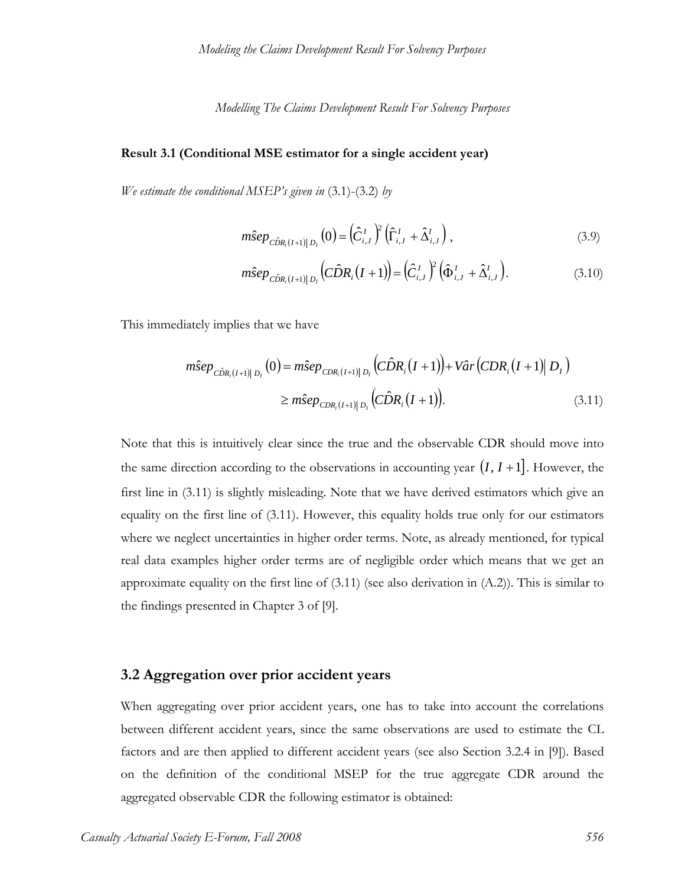#### **Result 3.1 (Conditional MSE estimator for a single accident year)**

*We estimate the conditional MSEP's given in* (3.1)-(3.2) *by*

$$
m\hat{S}ep_{\hat{C}\hat{D}R_i(I+1)|D_I}(0) = (\hat{C}_{i,J}^I)^2 (\hat{\Gamma}_{i,J}^I + \hat{\Delta}_{i,J}^I),
$$
\n(3.9)

$$
m\hat{S}ep_{\hat{C}\hat{D}R_i(I+1)|D_I}\left(\hat{C}\hat{D}R_i(I+1)\right) = \left(\hat{C}_{i,J}^I\right)^2\left(\hat{\Phi}_{i,J}^I + \hat{\Delta}_{i,J}^I\right). \tag{3.10}
$$

This immediately implies that we have

$$
m\hat{S}ep_{\hat{C}\hat{D}R_i(I+1)|D_I}(0) = m\hat{S}ep_{CDR_i(I+1)|D_I}(\hat{C}\hat{D}R_i(I+1)) + V\hat{a}r(CDR_i(I+1)|D_I)
$$
  
\n
$$
\geq m\hat{S}ep_{CDR_i(I+1)|D_I}(\hat{C}\hat{D}R_i(I+1)).
$$
\n(3.11)

Note that this is intuitively clear since the true and the observable CDR should move into the same direction according to the observations in accounting year  $(I, I + 1]$ . However, the first line in (3.11) is slightly misleading. Note that we have derived estimators which give an equality on the first line of (3.11). However, this equality holds true only for our estimators where we neglect uncertainties in higher order terms. Note, as already mentioned, for typical real data examples higher order terms are of negligible order which means that we get an approximate equality on the first line of  $(3.11)$  (see also derivation in  $(A.2)$ ). This is similar to the findings presented in Chapter 3 of [9].

#### **3.2 Aggregation over prior accident years**

When aggregating over prior accident years, one has to take into account the correlations between different accident years, since the same observations are used to estimate the CL factors and are then applied to different accident years (see also Section 3.2.4 in [9]). Based on the definition of the conditional MSEP for the true aggregate CDR around the aggregated observable CDR the following estimator is obtained: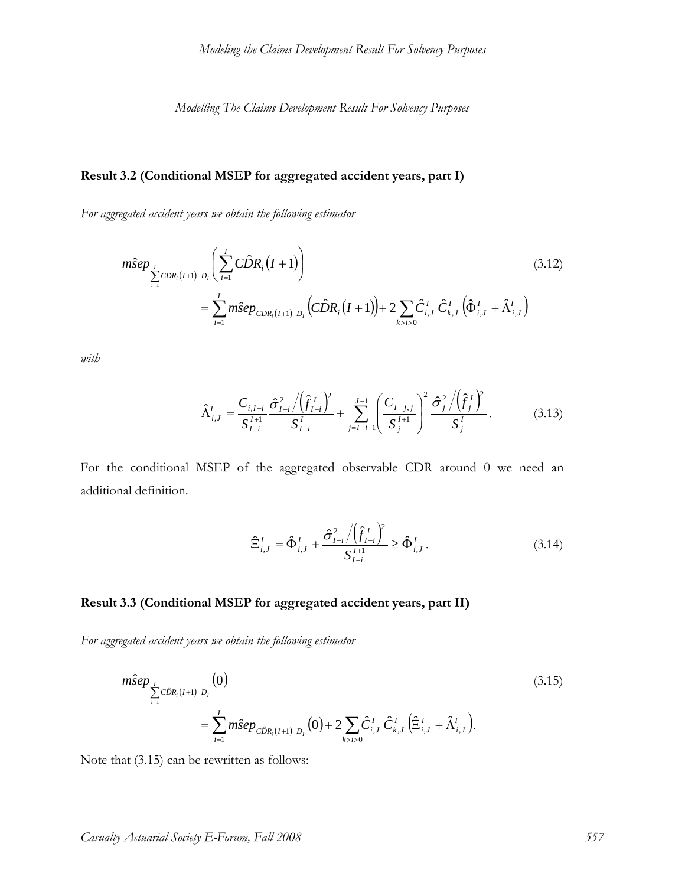# **Result 3.2 (Conditional MSEP for aggregated accident years, part I)**

*For aggregated accident years we obtain the following estimator*

$$
m\hat{S}ep_{\sum_{i=1}^{I}CDR_{i}(I+1)|D_{i}}\left(\sum_{i=1}^{I}C\hat{D}R_{i}(I+1)\right)
$$
\n
$$
=\sum_{i=1}^{I}m\hat{S}ep_{CDR_{i}(I+1)|D_{i}}\left(C\hat{D}R_{i}(I+1)\right)+2\sum_{k>i>0}\hat{C}_{i,J}^{I}\hat{C}_{k,J}^{I}\left(\hat{\Phi}_{i,J}^{I}+\hat{\Lambda}_{i,J}^{I}\right)
$$
\n(3.12)

*with* 

$$
\hat{\Lambda}_{i,J}^I = \frac{C_{i,I-i}}{S_{I-i}^{I+1}} \frac{\hat{\sigma}_{I-i}^2 / (\hat{f}_{I-i}^I)^2}{S_{I-i}^I} + \sum_{j=I-i+1}^{J-1} \left(\frac{C_{I-j,j}}{S_j^{I+1}}\right)^2 \frac{\hat{\sigma}_j^2 / (\hat{f}_j^I)^2}{S_j^I}.
$$
(3.13)

For the conditional MSEP of the aggregated observable CDR around 0 we need an additional definition.

$$
\hat{\Xi}_{i,J}^I = \hat{\Phi}_{i,J}^I + \frac{\hat{\sigma}_{I-i}^2 / (\hat{f}_{I-i}^I)^2}{S_{I-i}^{I+1}} \ge \hat{\Phi}_{i,J}^I.
$$
\n(3.14)

# **Result 3.3 (Conditional MSEP for aggregated accident years, part II)**

*For aggregated accident years we obtain the following estimator*

$$
m\hat{\mathbf{s}}ep_{\sum_{i=1}^{I}C\hat{D}R_{i}(I+1)|D_{I}}(0)
$$
\n
$$
=\sum_{i=1}^{I}m\hat{\mathbf{s}}ep_{C\hat{D}R_{i}(I+1)|D_{I}}(0)+2\sum_{k>i>0}\hat{C}_{i,J}^{I}\hat{C}_{k,J}^{I}\left(\hat{\Xi}_{i,J}^{I}+\hat{\Lambda}_{i,J}^{I}\right).
$$
\n(3.15)

Note that (3.15) can be rewritten as follows: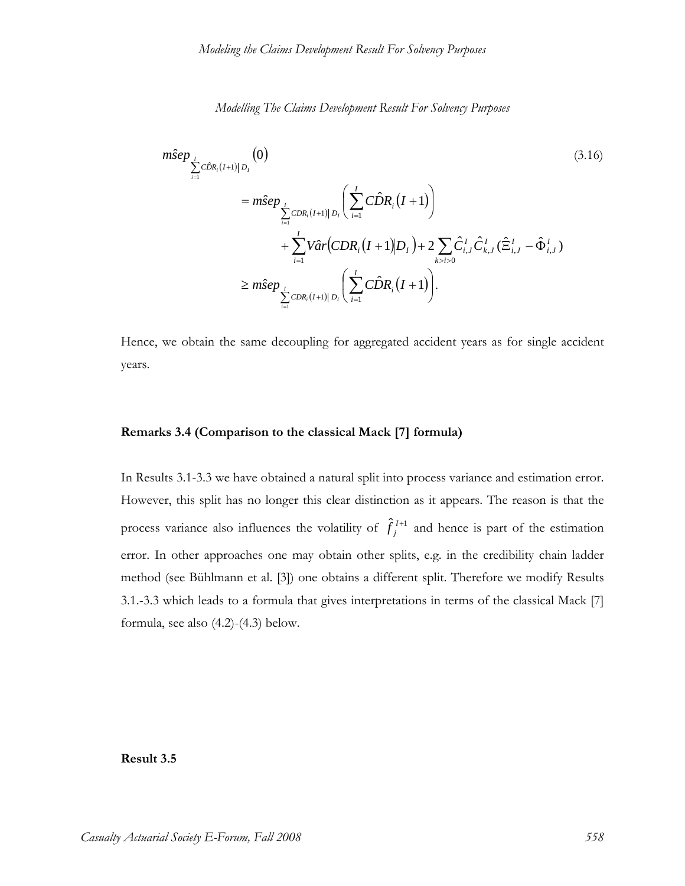$$
m\hat{S}ep_{\sum_{i=1}^{I}C\hat{D}R_{i}(I+1)|D_{I}}(0)
$$
\n
$$
= m\hat{S}ep_{\sum_{i=1}^{I}C\hat{D}R_{i}(I+1)|D_{I}}\left(\sum_{i=1}^{I}C\hat{D}R_{i}(I+1)\right)
$$
\n
$$
+ \sum_{i=1}^{I}V\hat{a}r(CDR_{i}(I+1)|D_{I}) + 2\sum_{k>i>0}\hat{C}_{i,J}^{I}\hat{C}_{k,J}^{I}(\hat{\Xi}_{i,J}^{I} - \hat{\Phi}_{i,J}^{I})
$$
\n
$$
\geq m\hat{S}ep_{\sum_{i=1}^{I}C\hat{D}R_{i}(I+1)|D_{I}}\left(\sum_{i=1}^{I}C\hat{D}R_{i}(I+1)\right).
$$
\n(3.16)

Hence, we obtain the same decoupling for aggregated accident years as for single accident years.

#### **Remarks 3.4 (Comparison to the classical Mack [7] formula)**

In Results 3.1-3.3 we have obtained a natural split into process variance and estimation error. However, this split has no longer this clear distinction as it appears. The reason is that the process variance also influences the volatility of  $\hat{f}_j^{I+1}$  and hence is part of the estimation error. In other approaches one may obtain other splits, e.g. in the credibility chain ladder method (see Bühlmann et al. [3]) one obtains a different split. Therefore we modify Results 3.1.-3.3 which leads to a formula that gives interpretations in terms of the classical Mack [7] formula, see also (4.2)-(4.3) below.

**Result 3.5**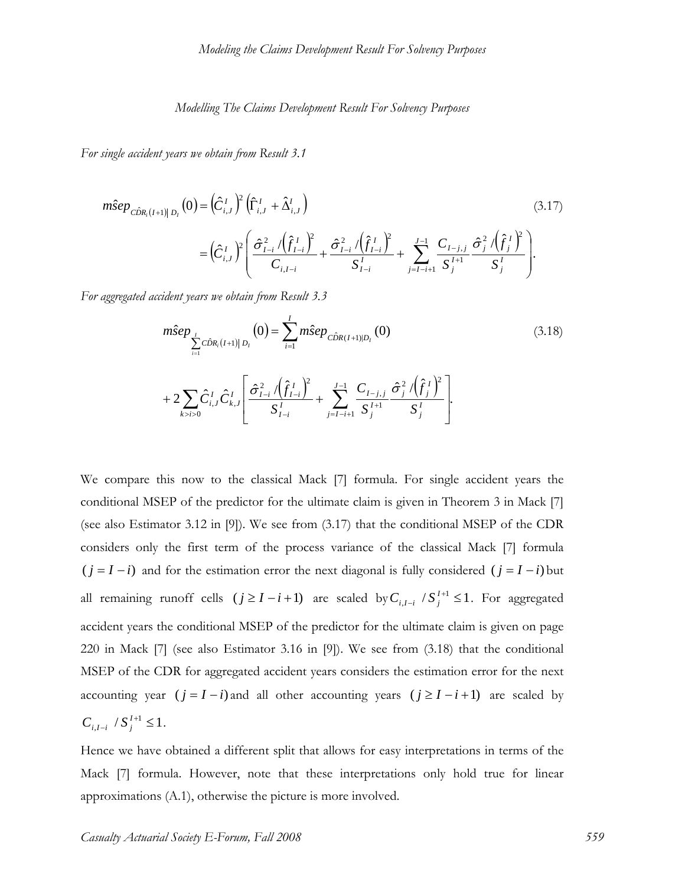*For single accident years we obtain from Result 3.1*

$$
m\hat{\mathbf{s}}ep_{\hat{C}\hat{D}R_{i}(I+1)|D_{I}}(0) = (\hat{C}_{i,J}^{I})^{2} (\hat{\Gamma}_{i,J}^{I} + \hat{\Delta}_{i,J}^{I})
$$
\n
$$
= (\hat{C}_{i,J}^{I})^{2} \left( \frac{\hat{\sigma}_{I-i}^{2} / (\hat{f}_{I-i}^{I})^{2}}{C_{i,I-i}} + \frac{\hat{\sigma}_{I-i}^{2} / (\hat{f}_{I-i}^{I})^{2}}{S_{I-i}^{I}} + \sum_{j=I-i+1}^{J-1} \frac{C_{I-j,j}}{S_{j}^{I+1}} \frac{\hat{\sigma}_{j}^{2} / (\hat{f}_{j}^{I})^{2}}{S_{j}^{I}} \right).
$$
\n(3.17)

*For aggregated accident years we obtain from Result 3.3* 

$$
m\hat{S}ep_{\sum_{i=1}^{I}C\hat{D}R_{i}(I+1)|D_{I}}(0) = \sum_{i=1}^{I} m\hat{S}ep_{\hat{C}\hat{D}R(I+1)|D_{I}}(0)
$$
\n
$$
+ 2\sum_{k>i>0} \hat{C}_{i,J}^{I} \hat{C}_{k,J}^{I} \left[ \frac{\hat{\sigma}_{I-i}^{2} / (\hat{f}_{I-i}^{I})^{2}}{S_{I-i}^{I}} + \sum_{j=I-i+1}^{J-1} \frac{C_{I-j,j}}{S_{j}^{I+1}} \frac{\hat{\sigma}_{j}^{2} / (\hat{f}_{j}^{I})^{2}}{S_{j}^{I}} \right].
$$
\n(3.18)

We compare this now to the classical Mack [7] formula. For single accident years the conditional MSEP of the predictor for the ultimate claim is given in Theorem 3 in Mack [7] (see also Estimator 3.12 in [9]). We see from (3.17) that the conditional MSEP of the CDR considers only the first term of the process variance of the classical Mack [7] formula  $(j = I - i)$  and for the estimation error the next diagonal is fully considered  $(j = I - i)$  but all remaining runoff cells  $(j \ge I - i + 1)$  are scaled by  $C_{i,I-i}$  /  $S_i^{I+1} \le 1$  $C_{i,I-i}$  /  $S_i^{I+1} \leq 1$ . For aggregated accident years the conditional MSEP of the predictor for the ultimate claim is given on page 220 in Mack [7] (see also Estimator 3.16 in [9]). We see from (3.18) that the conditional MSEP of the CDR for aggregated accident years considers the estimation error for the next accounting year  $(j = I - i)$  and all other accounting years  $(j \ge I - i + 1)$  are scaled by  $I_{-i}$  /  $S_j^{I+1} \leq 1$  $C_{i,I-i}$  /  $S_i^{I+1} \leq 1$ .

Hence we have obtained a different split that allows for easy interpretations in terms of the Mack [7] formula. However, note that these interpretations only hold true for linear approximations (A.1), otherwise the picture is more involved.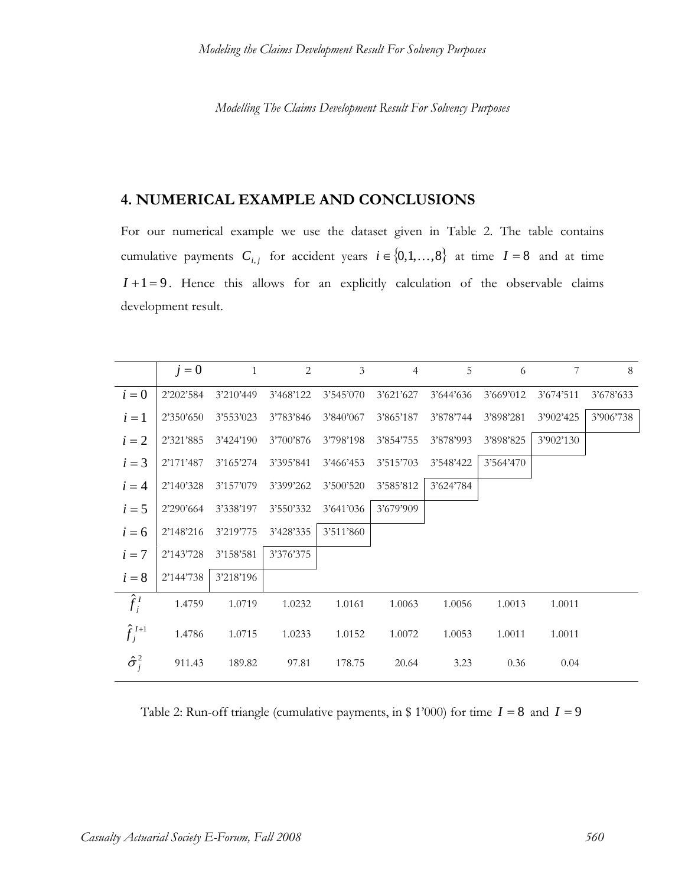# **4. NUMERICAL EXAMPLE AND CONCLUSIONS**

For our numerical example we use the dataset given in Table 2. The table contains cumulative payments  $C_{i,j}$  for accident years  $i \in \{0,1,\ldots,8\}$  at time  $I = 8$  and at time  $I+1=9$ . Hence this allows for an explicitly calculation of the observable claims development result.

|                    | $j=0$     | $\overline{1}$ | $\overline{2}$ | $\mathfrak{Z}$ | $\overline{4}$ | 5         | 6         | 7         | 8         |
|--------------------|-----------|----------------|----------------|----------------|----------------|-----------|-----------|-----------|-----------|
| $i=0$              | 2'202'584 | 3'210'449      | 3'468'122      | 3'545'070      | 3'621'627      | 3'644'636 | 3'669'012 | 3'674'511 | 3'678'633 |
| $i=1$              | 2'350'650 | 3'553'023      | 3'783'846      | 3'840'067      | 3'865'187      | 3'878'744 | 3'898'281 | 3'902'425 | 3'906'738 |
| $i=2$              | 2'321'885 | 3'424'190      | 3'700'876      | 3'798'198      | 3'854'755      | 3'878'993 | 3'898'825 | 3'902'130 |           |
| $i=3$              | 2'171'487 | 3'165'274      | 3'395'841      | 3'466'453      | 3'515'703      | 3'548'422 | 3'564'470 |           |           |
| $i=4$              | 2'140'328 | 3'157'079      | 3'399'262      | 3'500'520      | 3'585'812      | 3'624'784 |           |           |           |
| $i=5$              | 2'290'664 | 3'338'197      | 3'550'332      | 3'641'036      | 3'679'909      |           |           |           |           |
| $i=6$              | 2'148'216 | 3'219'775      | 3'428'335      | 3'511'860      |                |           |           |           |           |
| $i=7$              | 2'143'728 | 3'158'581      | 3'376'375      |                |                |           |           |           |           |
| $i=8$              | 2'144'738 | 3'218'196      |                |                |                |           |           |           |           |
| $\hat{f}_i^I$      | 1.4759    | 1.0719         | 1.0232         | 1.0161         | 1.0063         | 1.0056    | 1.0013    | 1.0011    |           |
| $\hat{f}_i^{I+1}$  | 1.4786    | 1.0715         | 1.0233         | 1.0152         | 1.0072         | 1.0053    | 1.0011    | 1.0011    |           |
| $\hat{\sigma}^2_i$ | 911.43    | 189.82         | 97.81          | 178.75         | 20.64          | 3.23      | 0.36      | 0.04      |           |

Table 2: Run-off triangle (cumulative payments, in \$ 1'000) for time  $I = 8$  and  $I = 9$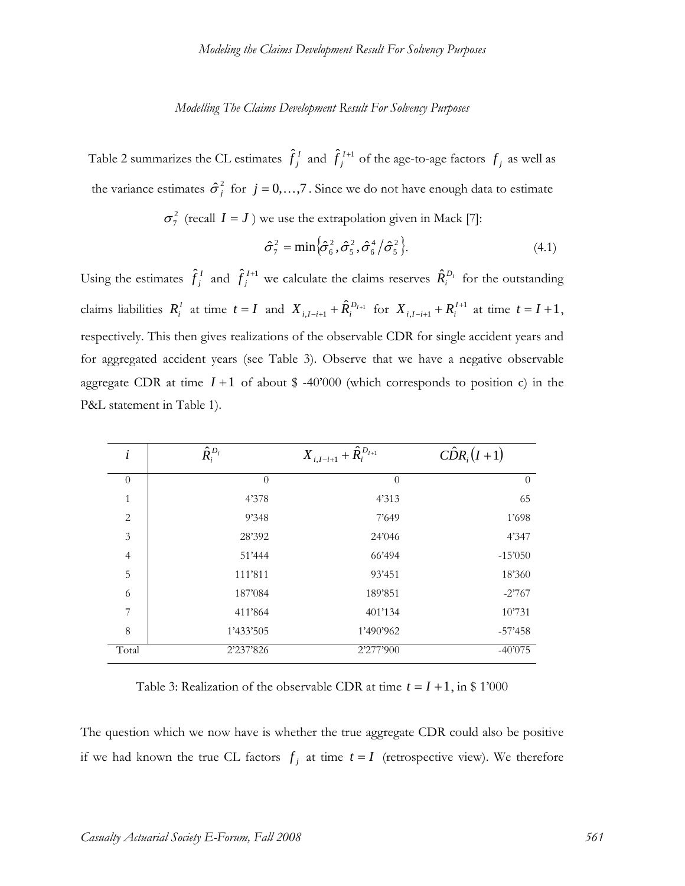Table 2 summarizes the CL estimates  $\hat{f}_j^I$  and  $\hat{f}_j^{I+1}$  of the age-to-age factors  $f_j$  as well as the variance estimates  $\hat{\sigma}_j^2$  for  $j = 0,...,7$ . Since we do not have enough data to estimate

 $\sigma_7^2$  (recall  $I = J$ ) we use the extrapolation given in Mack [7]:

$$
\hat{\sigma}_7^2 = \min \left\{ \hat{\sigma}_6^2, \hat{\sigma}_5^2, \hat{\sigma}_6^4 / \hat{\sigma}_5^2 \right\}.
$$
\n(4.1)

Using the estimates  $\hat{f}_j^I$  and  $\hat{f}_j^{I+1}$  we calculate the claims reserves  $\hat{R}_i^{D_I}$  for the outstanding claims liabilities  $R_i^I$  at time  $t = I$  and  $X_{i,I-i+1} + \hat{R}_i^{D_{I+1}}$  for  $X_{i,I-i+1} + R_i^{I+1}$  $X_{i, I-i+1} + R_i^{I+1}$  at time  $t = I + 1$ , respectively. This then gives realizations of the observable CDR for single accident years and for aggregated accident years (see Table 3). Observe that we have a negative observable aggregate CDR at time  $I + 1$  of about \$ -40'000 (which corresponds to position c) in the P&L statement in Table 1).

| $\dot{i}$      | $\hat{R}_i^{D_I}$ | $X_{i,I-i+1} + \hat{R}_{i}^{D_{I+1}}$ | $\hat{CDR}_i(I+1)$ |
|----------------|-------------------|---------------------------------------|--------------------|
| $\theta$       | $\Omega$          | $\theta$                              | $\Omega$           |
| $\mathbf{1}$   | 4'378             | 4'313                                 | 65                 |
| $\overline{2}$ | 9'348             | 7'649                                 | 1'698              |
| 3              | 28'392            | 24'046                                | 4'347              |
| $\overline{4}$ | 51'444            | 66'494                                | $-15'050$          |
| 5              | 111'811           | 93'451                                | 18'360             |
| 6              | 187'084           | 189'851                               | $-2767$            |
| 7              | 411'864           | 401'134                               | 10'731             |
| 8              | 1'433'505         | 1'490'962                             | $-57'458$          |
| Total          | 2'237'826         | 2'277'900                             | $-40'075$          |

Table 3: Realization of the observable CDR at time  $t = I + 1$ , in \$ 1'000

The question which we now have is whether the true aggregate CDR could also be positive if we had known the true CL factors  $f_i$  at time  $t = I$  (retrospective view). We therefore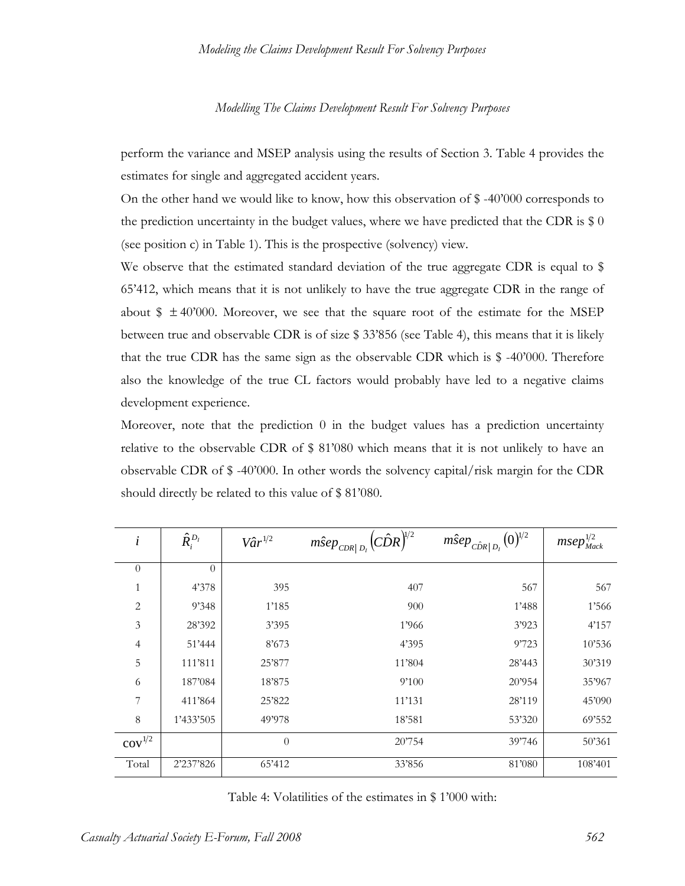perform the variance and MSEP analysis using the results of Section 3. Table 4 provides the estimates for single and aggregated accident years.

On the other hand we would like to know, how this observation of  $$ -40'000$  corresponds to the prediction uncertainty in the budget values, where we have predicted that the CDR is  $\$0$ (see position c) in Table 1). This is the prospective (solvency) view.

We observe that the estimated standard deviation of the true aggregate CDR is equal to \$ 65'412, which means that it is not unlikely to have the true aggregate CDR in the range of about  $\frac{1}{2} \pm 40'000$ . Moreover, we see that the square root of the estimate for the MSEP between true and observable CDR is of size \$ 33'856 (see Table 4), this means that it is likely that the true CDR has the same sign as the observable CDR which is \$ -40'000. Therefore also the knowledge of the true CL factors would probably have led to a negative claims development experience.

Moreover, note that the prediction 0 in the budget values has a prediction uncertainty relative to the observable CDR of \$ 81'080 which means that it is not unlikely to have an observable CDR of \$ -40'000. In other words the solvency capital/risk margin for the CDR should directly be related to this value of \$ 81'080.

| $\dot{i}$      | $\hat{R}_i^{D_I}$ | $V\hat{a}r^{1/2}$ | $m\hat{S}ep_{CDR D_{I}}(C\hat{D}R)^{\!V\!2}$ | $m\hat{S}ep_{\hat{CDR}  D_{I}}(0)^{1/2}$ | $msep_{\textit{Mack}}^{1/2}$ |
|----------------|-------------------|-------------------|----------------------------------------------|------------------------------------------|------------------------------|
| $\overline{0}$ | $\theta$          |                   |                                              |                                          |                              |
| 1              | 4'378             | 395               | 407                                          | 567                                      | 567                          |
| $\overline{c}$ | 9'348             | 1'185             | 900                                          | 1'488                                    | 1'566                        |
| 3              | 28'392            | 3'395             | 1'966                                        | 3'923                                    | 4'157                        |
| 4              | 51'444            | 8'673             | 4'395                                        | 9'723                                    | 10'536                       |
| 5              | 111'811           | 25'877            | 11'804                                       | 28'443                                   | 30'319                       |
| 6              | 187'084           | 18'875            | 9'100                                        | 20'954                                   | 35'967                       |
| 7              | 411'864           | 25'822            | 11'131                                       | 28'119                                   | 45'090                       |
| 8              | 1'433'505         | 49'978            | 18'581                                       | 53'320                                   | 69'552                       |
| $cov^{1/2}$    |                   | $\theta$          | 20'754                                       | 39'746                                   | 50'361                       |
| Total          | 2'237'826         | 65'412            | 33'856                                       | 81'080                                   | 108'401                      |

Table 4: Volatilities of the estimates in \$ 1'000 with: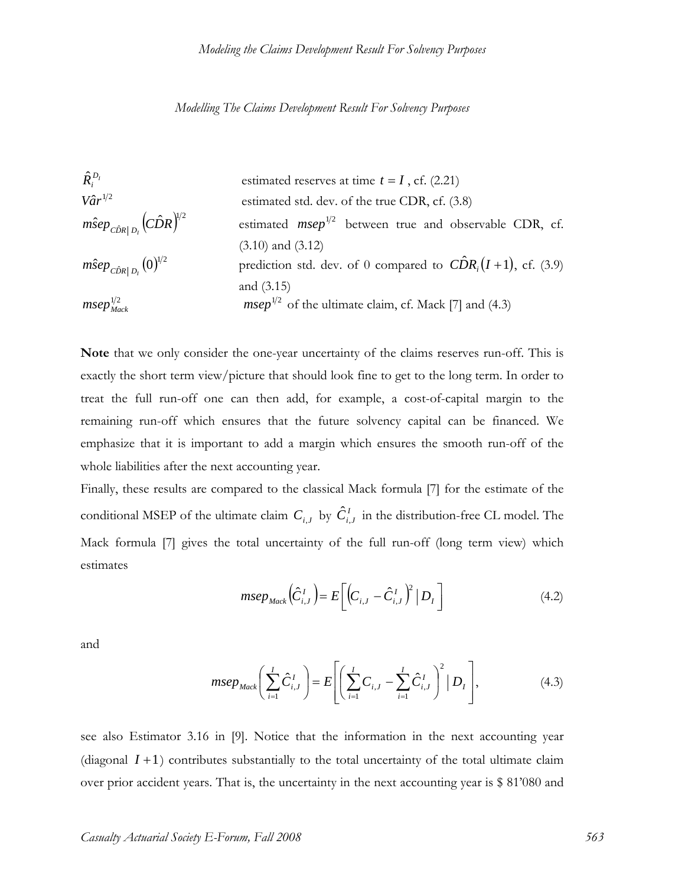$$
\hat{R}_{i}^{D_{I}}
$$
 estimated reserves at time  $t = I$ , cf. (2.21)  
\n
$$
V\hat{a}r^{1/2}
$$
 estimated std. dev. of the true CDR, cf. (3.8)  
\n
$$
m\hat{s}ep_{\hat{C}\hat{D}R}|_{D_{I}}(C\hat{D}R)^{1/2}
$$
 estimated  $msep^{1/2}$  between true and observable CDR, cf.  
\n(3.10) and (3.12)  
\n
$$
m\hat{s}ep_{\hat{C}\hat{D}R}|_{D_{I}}(0)^{1/2}
$$
 prediction std. dev. of 0 compared to  $C\hat{D}R_{i}(I+1)$ , cf. (3.9)  
\nand (3.15)  
\n
$$
msep^{1/2}
$$
 of the ultimate claim, cf. Mack [7] and (4.3)

**Note** that we only consider the one-year uncertainty of the claims reserves run-off. This is exactly the short term view/picture that should look fine to get to the long term. In order to treat the full run-off one can then add, for example, a cost-of-capital margin to the remaining run-off which ensures that the future solvency capital can be financed. We emphasize that it is important to add a margin which ensures the smooth run-off of the whole liabilities after the next accounting year.

Finally, these results are compared to the classical Mack formula [7] for the estimate of the conditional MSEP of the ultimate claim  $C_{i,J}$  by  $\hat{C}_{i,J}^I$  in the distribution-free CL model. The Mack formula [7] gives the total uncertainty of the full run-off (long term view) which estimates

$$
mse_{Mack}(\hat{C}_{i,J}^I) = E\bigg[\big(C_{i,J} - \hat{C}_{i,J}^I\big)^2 | D_I \bigg]
$$
\n(4.2)

and

$$
mse_{Mack}\left(\sum_{i=1}^{I} \hat{C}_{i,J}^{I}\right) = E\left[\left(\sum_{i=1}^{I} C_{i,J} - \sum_{i=1}^{I} \hat{C}_{i,J}^{I}\right)^{2} | D_{I}\right],
$$
\n(4.3)

see also Estimator 3.16 in [9]. Notice that the information in the next accounting year (diagonal  $I + 1$ ) contributes substantially to the total uncertainty of the total ultimate claim over prior accident years. That is, the uncertainty in the next accounting year is \$ 81'080 and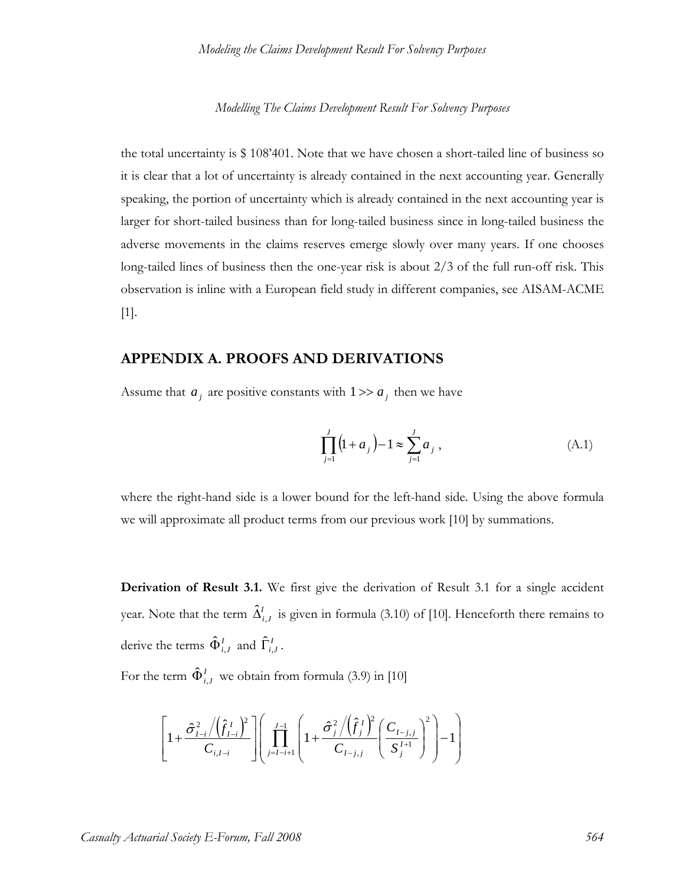the total uncertainty is \$ 108'401. Note that we have chosen a short-tailed line of business so it is clear that a lot of uncertainty is already contained in the next accounting year. Generally speaking, the portion of uncertainty which is already contained in the next accounting year is larger for short-tailed business than for long-tailed business since in long-tailed business the adverse movements in the claims reserves emerge slowly over many years. If one chooses long-tailed lines of business then the one-year risk is about 2/3 of the full run-off risk. This observation is inline with a European field study in different companies, see AISAM-ACME [1].

# **APPENDIX A. PROOFS AND DERIVATIONS**

Assume that  $a_i$  are positive constants with  $1 \gg a_i$  then we have

$$
\prod_{j=1}^{J} (1 + a_j) - 1 \approx \sum_{j=1}^{J} a_j , \qquad (A.1)
$$

where the right-hand side is a lower bound for the left-hand side. Using the above formula we will approximate all product terms from our previous work [10] by summations.

**Derivation of Result 3.1.** We first give the derivation of Result 3.1 for a single accident year. Note that the term  $\hat{\Delta}_{i,J}^I$  is given in formula (3.10) of [10]. Henceforth there remains to derive the terms  $\hat{\Phi}^I_{i,J}$  and  $\hat{\Gamma}^I_{i,J}$ .

For the term  $\hat{\Phi}^I_{i,J}$  we obtain from formula (3.9) in [10]

$$
\left[1+\frac{\hat{\sigma}_{I-i}^{2}/(\hat{f}_{I-i}^{I})^{2}}{C_{i,I-i}}\right] \left(\prod_{j=I-i+1}^{J-1}\left(1+\frac{\hat{\sigma}_{j}^{2}/(\hat{f}_{j}^{I})^{2}}{C_{I-j,j}}\left(\frac{C_{I-j,j}}{S_{j}^{I+1}}\right)^{2}\right)-1\right)
$$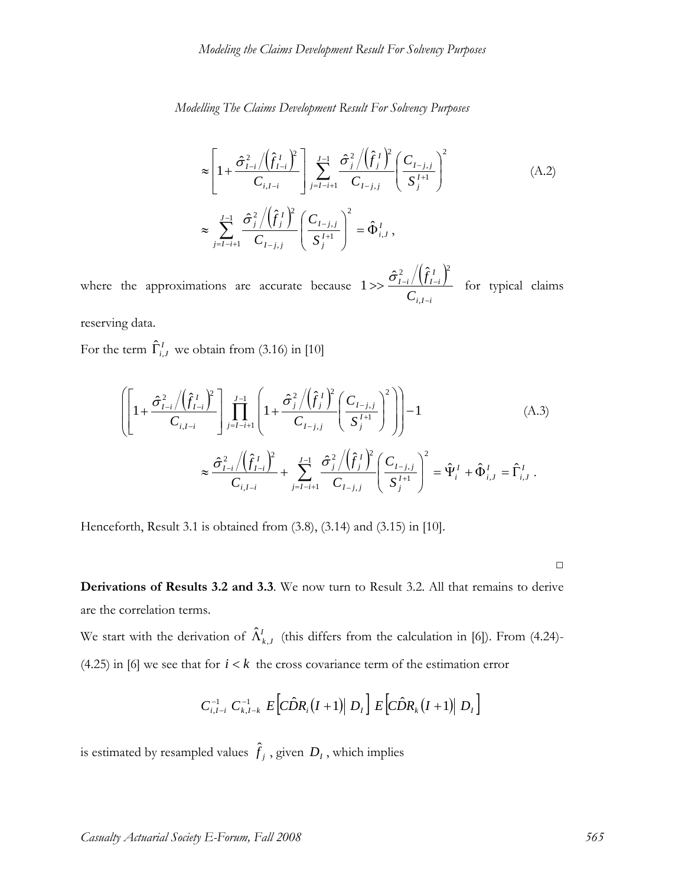$$
\approx \left[1 + \frac{\hat{\sigma}_{I-i}^{2} / (\hat{f}_{I-i}^{I})^{2}}{C_{i,I-i}}\right] \sum_{j=I-i+1}^{J-1} \frac{\hat{\sigma}_{j}^{2} / (\hat{f}_{j}^{I})^{2}}{C_{I-j,j}} \left(\frac{C_{I-j,j}}{S_{j}^{I+1}}\right)^{2}
$$
\n
$$
\approx \sum_{j=I-i+1}^{J-1} \frac{\hat{\sigma}_{j}^{2} / (\hat{f}_{j}^{I})^{2}}{C_{I-j,j}} \left(\frac{C_{I-j,j}}{S_{j}^{I+1}}\right)^{2} = \hat{\Phi}_{i,J}^{I},
$$
\n(A.2)

where the approximations are accurate because  $1 \gg \frac{\hat{\sigma}_{l-i}^2/(\hat{f}_{l-i}^l)}{Z}$  $i, I - i$ *I I i I i C f* −  $>> \frac{O_{I-i}/U_{I-1}}{U}$ ,  $1 >> \frac{\hat{\sigma}_{I-i}^2/(\hat{f}_{I-i}^I)^2}{\hat{\sigma}_{I-i}^2}$  for typical claims

reserving data.

For the term  $\hat{\Gamma}^I_{i,J}$  we obtain from (3.16) in [10]

$$
\left( \left[ 1 + \frac{\hat{\sigma}_{I-i}^{2} / (\hat{f}_{I-i}^{I})^{2}}{C_{i,I-i}} \right] \prod_{j=I-i+1}^{J-1} \left( 1 + \frac{\hat{\sigma}_{j}^{2} / (\hat{f}_{j}^{I})^{2}}{C_{I-j,j}} \left( \frac{C_{I-j,j}}{S_{j}^{I+1}} \right)^{2} \right) \right) - 1\n\n\approx \frac{\hat{\sigma}_{I-i}^{2} / (\hat{f}_{I-i}^{I})^{2}}{C_{i,I-i}} + \sum_{j=I-i+1}^{J-1} \frac{\hat{\sigma}_{j}^{2} / (\hat{f}_{j}^{I})^{2}}{C_{I-j,j}} \left( \frac{C_{I-j,j}}{S_{j}^{I+1}} \right)^{2} = \hat{\Psi}_{i}^{I} + \hat{\Phi}_{i,J}^{I} = \hat{\Gamma}_{i,J}^{I} .
$$
\n(A.3)

Henceforth, Result 3.1 is obtained from (3.8), (3.14) and (3.15) in [10].

□

**Derivations of Results 3.2 and 3.3**. We now turn to Result 3.2. All that remains to derive are the correlation terms.

We start with the derivation of  $\hat{\Lambda}_{k,J}^{I}$  (this differs from the calculation in [6]). From (4.24)-(4.25) in [6] we see that for  $i < k$  the cross covariance term of the estimation error

$$
C_{i,I-i}^{-1} C_{k,I-k}^{-1} E \left[ C \hat{D} R_i (I+1) \big| D_I \right] E \left[ C \hat{D} R_k (I+1) \big| D_I \right]
$$

is estimated by resampled values  $\hat{f}_j$  , given  $D_I$  , which implies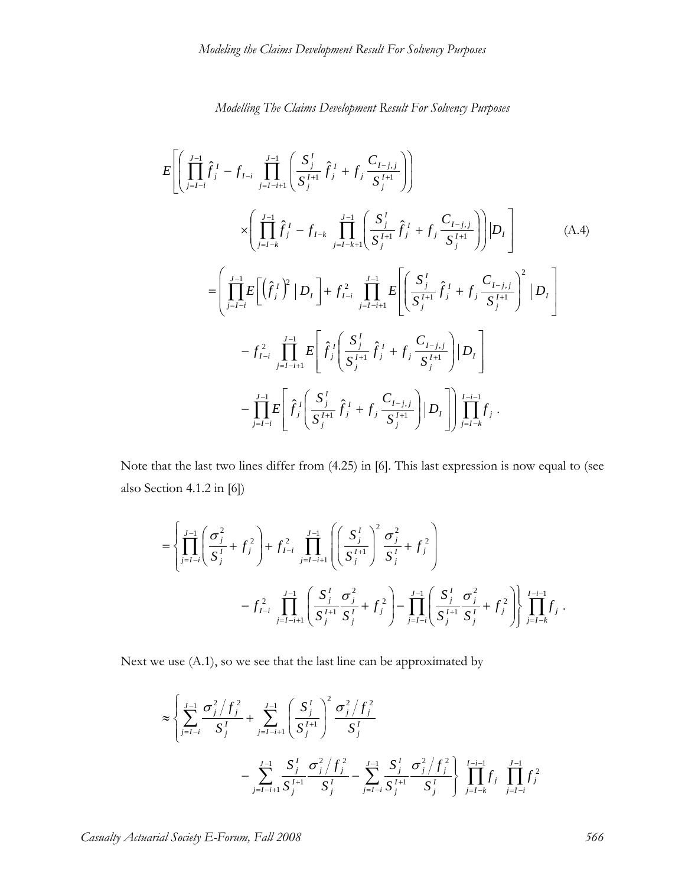$$
E\left[\left(\prod_{j=1-i}^{J-1} \hat{f}_{j}^{I} - f_{I-i} \prod_{j=I-i+1}^{J-1} \left(\frac{S_{j}^{I}}{S_{j}^{I+1}} \hat{f}_{j}^{I} + f_{j} \frac{C_{I-j,j}}{S_{j}^{I+1}}\right)\right] \times \left(\prod_{j=I-k}^{J-1} \hat{f}_{j}^{I} - f_{I-k} \prod_{j=I-k+1}^{J-1} \left(\frac{S_{j}^{I}}{S_{j}^{I+1}} \hat{f}_{j}^{I} + f_{j} \frac{C_{I-j,j}}{S_{j}^{I+1}}\right)\right) |D_{I}\right] \qquad (A.4)
$$

$$
= \left(\prod_{j=I-i}^{J-1} E\left[\left(\hat{f}_{j}^{I}\right)^{2} | D_{I}\right] + f_{I-i}^{2} \prod_{j=I-i+1}^{J-1} E\left[\left(\frac{S_{j}^{I}}{S_{j}^{I+1}} \hat{f}_{j}^{I} + f_{j} \frac{C_{I-j,j}}{S_{j}^{I+1}}\right)^{2} | D_{I}\right]
$$

$$
- f_{I-i}^{2} \prod_{j=I-i+1}^{J-1} E\left[\hat{f}_{j}^{I} \left(\frac{S_{j}^{I}}{S_{j}^{I+1}} \hat{f}_{j}^{I} + f_{j} \frac{C_{I-j,j}}{S_{j}^{I+1}}\right) | D_{I}\right]
$$

$$
- \prod_{j=I-i}^{J-1} E\left[\hat{f}_{j}^{I} \left(\frac{S_{j}^{I}}{S_{j}^{I+1}} \hat{f}_{j}^{I} + f_{j} \frac{C_{I-j,j}}{S_{j}^{I+1}}\right) | D_{I}\right] \prod_{j=I-k}^{I-i-1} f_{j}.
$$

Note that the last two lines differ from (4.25) in [6]. This last expression is now equal to (see also Section 4.1.2 in [6])

$$
= \left\{ \prod_{j=1-i}^{J-1} \left( \frac{\sigma_j^2}{S_j^I} + f_j^2 \right) + f_{I-i}^2 \prod_{j=I-i+1}^{J-1} \left( \left( \frac{S_j^I}{S_j^{I+1}} \right)^2 \frac{\sigma_j^2}{S_j^I} + f_j^2 \right) \right\}
$$
  
-  $f_{I-i}^2 \prod_{j=I-i+1}^{J-1} \left( \frac{S_j^I}{S_j^{I+1}} \frac{\sigma_j^2}{S_j^I} + f_j^2 \right) - \prod_{j=I-i}^{J-1} \left( \frac{S_j^I}{S_j^{I+1}} \frac{\sigma_j^2}{S_j^I} + f_j^2 \right) \prod_{j=I-k}^{I-i-1} f_j.$ 

Next we use (A.1), so we see that the last line can be approximated by

$$
\approx \left\{ \sum_{j=I-i}^{J-1} \frac{\sigma_j^2/f_j^2}{S_j^I} + \sum_{j=I-i+1}^{J-1} \left( \frac{S_j^I}{S_j^I} \right)^2 \frac{\sigma_j^2/f_j^2}{S_j^I} - \sum_{j=I-i+1}^{J-1} \frac{S_j^I}{S_j^I} \frac{\sigma_j^2/f_j^2}{S_j^I} - \sum_{j=I-i}^{J-1} \frac{S_j^I}{S_j^I} \frac{\sigma_j^2/f_j^2}{S_j^I} \right\} \prod_{j=I-k}^{I-i-1} f_j^2
$$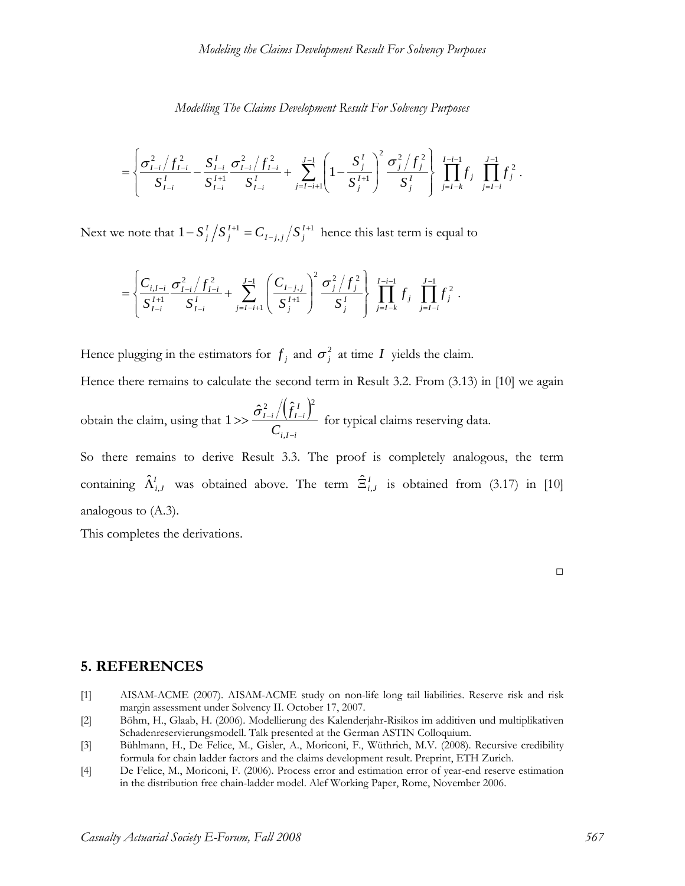$$
= \left\{ \frac{\sigma_{I-i}^2/f_{I-i}^2}{S_{I-i}^I} - \frac{S_{I-i}^I}{S_{I-i}^{I+1}} \frac{\sigma_{I-i}^2/f_{I-i}^2}{S_{I-i}^I} + \sum_{j=I-i+1}^{J-1} \left(1 - \frac{S_j^I}{S_j^{I+1}}\right)^2 \frac{\sigma_j^2/f_j^2}{S_j^I} \right\} \prod_{j=I-k}^{I-i-1} f_j \prod_{j=I-i}^{J-1} f_j^2.
$$

Next we note that  $1 - S_j^I \left/ S_j^{I+1} \right. = C_{I-j,j} \left/ S_j^{I+1} \right.$ *I j*  $S_j^I/S_j^{I+1} = C_{I-j,j}/S_j^{I+1}$  hence this last term is equal to

$$
= \left\{ \frac{C_{i,I-i}}{S_{I-i}^{I+1}} \frac{\sigma_{I-i}^2/f_{I-i}^2}{S_{I-i}^{I}} + \sum_{j=I-i+1}^{J-1} \left( \frac{C_{I-j,j}}{S_j^{I+1}} \right)^2 \frac{\sigma_j^2/f_j^2}{S_j^{I}} \right\} \prod_{j=I-k}^{I-i-1} f_j \prod_{j=I-i}^{J-1} f_j^2.
$$

Hence plugging in the estimators for  $f_j$  and  $\sigma_j^2$  at time *I* yields the claim.

Hence there remains to calculate the second term in Result 3.2. From (3.13) in [10] we again

obtain the claim, using that  $1 >> \frac{\hat{\sigma}_{l-i}^2 / (\hat{f}_{l-i}^I)}{Z}$  $i, I - i$ *I I i I i C f* −  $>> \frac{O_{I-i}/U_{I-1}}{U}$ ,  $1 >> \frac{\hat{\sigma}_{I-i}^2/(\hat{f}_{I-i}^I)^2}{Z}$  for typical claims reserving data.

So there remains to derive Result 3.3. The proof is completely analogous, the term containing  $\hat{\Lambda}^I_{i,J}$  was obtained above. The term  $\hat{\Xi}^I_{i,J}$  is obtained from (3.17) in [10] analogous to (A.3).

This completes the derivations.

□

# **5. REFERENCES**

- [1] AISAM-ACME (2007). AISAM-ACME study on non-life long tail liabilities. Reserve risk and risk margin assessment under Solvency II. October 17, 2007.
- [2] Böhm, H., Glaab, H. (2006). Modellierung des Kalenderjahr-Risikos im additiven und multiplikativen Schadenreservierungsmodell. Talk presented at the German ASTIN Colloquium.
- [3] Bühlmann, H., De Felice, M., Gisler, A., Moriconi, F., Wüthrich, M.V. (2008). Recursive credibility formula for chain ladder factors and the claims development result. Preprint, ETH Zurich.
- [4] De Felice, M., Moriconi, F. (2006). Process error and estimation error of year-end reserve estimation in the distribution free chain-ladder model. Alef Working Paper, Rome, November 2006.